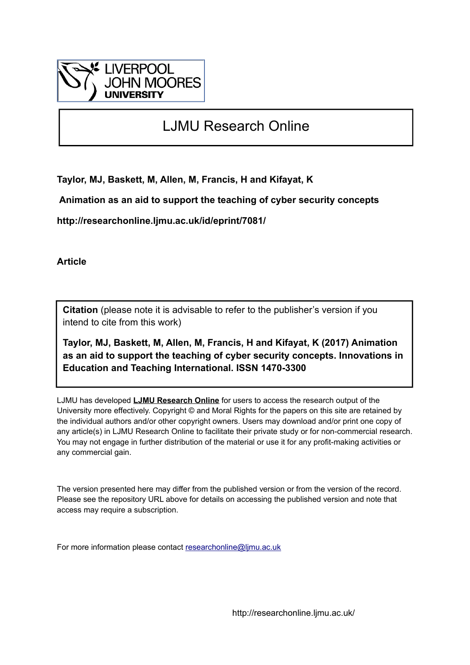

# LJMU Research Online

**Taylor, MJ, Baskett, M, Allen, M, Francis, H and Kifayat, K**

 **Animation as an aid to support the teaching of cyber security concepts**

**http://researchonline.ljmu.ac.uk/id/eprint/7081/**

**Article**

**Citation** (please note it is advisable to refer to the publisher's version if you intend to cite from this work)

**Taylor, MJ, Baskett, M, Allen, M, Francis, H and Kifayat, K (2017) Animation as an aid to support the teaching of cyber security concepts. Innovations in Education and Teaching International. ISSN 1470-3300** 

LJMU has developed **[LJMU Research Online](http://researchonline.ljmu.ac.uk/)** for users to access the research output of the University more effectively. Copyright © and Moral Rights for the papers on this site are retained by the individual authors and/or other copyright owners. Users may download and/or print one copy of any article(s) in LJMU Research Online to facilitate their private study or for non-commercial research. You may not engage in further distribution of the material or use it for any profit-making activities or any commercial gain.

The version presented here may differ from the published version or from the version of the record. Please see the repository URL above for details on accessing the published version and note that access may require a subscription.

For more information please contact [researchonline@ljmu.ac.uk](mailto:researchonline@ljmu.ac.uk)

http://researchonline.ljmu.ac.uk/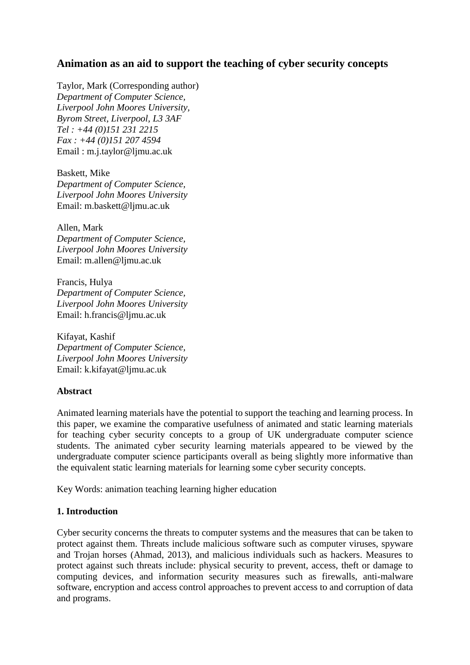# **Animation as an aid to support the teaching of cyber security concepts**

Taylor, Mark (Corresponding author) *Department of Computer Science, Liverpool John Moores University, Byrom Street, Liverpool, L3 3AF Tel : +44 (0)151 231 2215 Fax : +44 (0)151 207 4594* Email : m.j.taylor@ljmu.ac.uk

Baskett, Mike *Department of Computer Science, Liverpool John Moores University* Email: m.baskett@ljmu.ac.uk

Allen, Mark *Department of Computer Science, Liverpool John Moores University* Email: m.allen@ljmu.ac.uk

Francis, Hulya *Department of Computer Science, Liverpool John Moores University* Email: h.francis@ljmu.ac.uk

Kifayat, Kashif *Department of Computer Science, Liverpool John Moores University* Email: k.kifayat@ljmu.ac.uk

#### **Abstract**

Animated learning materials have the potential to support the teaching and learning process. In this paper, we examine the comparative usefulness of animated and static learning materials for teaching cyber security concepts to a group of UK undergraduate computer science students. The animated cyber security learning materials appeared to be viewed by the undergraduate computer science participants overall as being slightly more informative than the equivalent static learning materials for learning some cyber security concepts.

Key Words: animation teaching learning higher education

#### **1. Introduction**

Cyber security concerns the threats to computer systems and the measures that can be taken to protect against them. Threats include malicious software such as computer viruses, spyware and Trojan horses (Ahmad, 2013), and malicious individuals such as hackers. Measures to protect against such threats include: physical security to prevent, access, theft or damage to computing devices, and information security measures such as firewalls, anti-malware software, encryption and access control approaches to prevent access to and corruption of data and programs.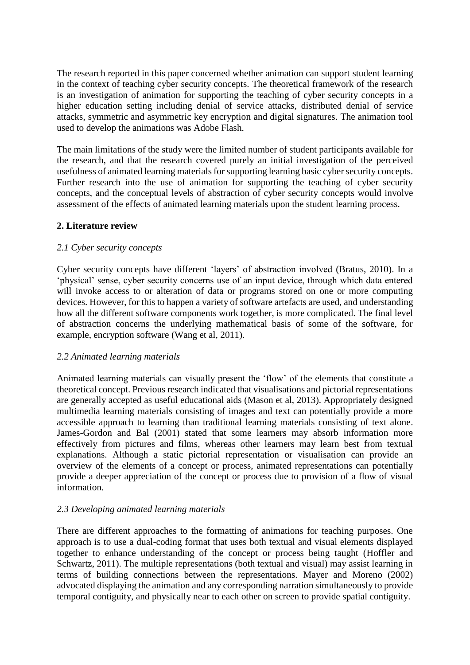The research reported in this paper concerned whether animation can support student learning in the context of teaching cyber security concepts. The theoretical framework of the research is an investigation of animation for supporting the teaching of cyber security concepts in a higher education setting including denial of service attacks, distributed denial of service attacks, symmetric and asymmetric key encryption and digital signatures. The animation tool used to develop the animations was Adobe Flash.

The main limitations of the study were the limited number of student participants available for the research, and that the research covered purely an initial investigation of the perceived usefulness of animated learning materials for supporting learning basic cyber security concepts. Further research into the use of animation for supporting the teaching of cyber security concepts, and the conceptual levels of abstraction of cyber security concepts would involve assessment of the effects of animated learning materials upon the student learning process.

# **2. Literature review**

# *2.1 Cyber security concepts*

Cyber security concepts have different 'layers' of abstraction involved (Bratus, 2010). In a 'physical' sense, cyber security concerns use of an input device, through which data entered will invoke access to or alteration of data or programs stored on one or more computing devices. However, for this to happen a variety of software artefacts are used, and understanding how all the different software components work together, is more complicated. The final level of abstraction concerns the underlying mathematical basis of some of the software, for example, encryption software (Wang et al, 2011).

# *2.2 Animated learning materials*

Animated learning materials can visually present the 'flow' of the elements that constitute a theoretical concept. Previous research indicated that visualisations and pictorial representations are generally accepted as useful educational aids (Mason et al, 2013). Appropriately designed multimedia learning materials consisting of images and text can potentially provide a more accessible approach to learning than traditional learning materials consisting of text alone. James-Gordon and Bal (2001) stated that some learners may absorb information more effectively from pictures and films, whereas other learners may learn best from textual explanations. Although a static pictorial representation or visualisation can provide an overview of the elements of a concept or process, animated representations can potentially provide a deeper appreciation of the concept or process due to provision of a flow of visual information.

#### *2.3 Developing animated learning materials*

There are different approaches to the formatting of animations for teaching purposes. One approach is to use a dual-coding format that uses both textual and visual elements displayed together to enhance understanding of the concept or process being taught (Hoffler and Schwartz, 2011). The multiple representations (both textual and visual) may assist learning in terms of building connections between the representations. Mayer and Moreno (2002) advocated displaying the animation and any corresponding narration simultaneously to provide temporal contiguity, and physically near to each other on screen to provide spatial contiguity.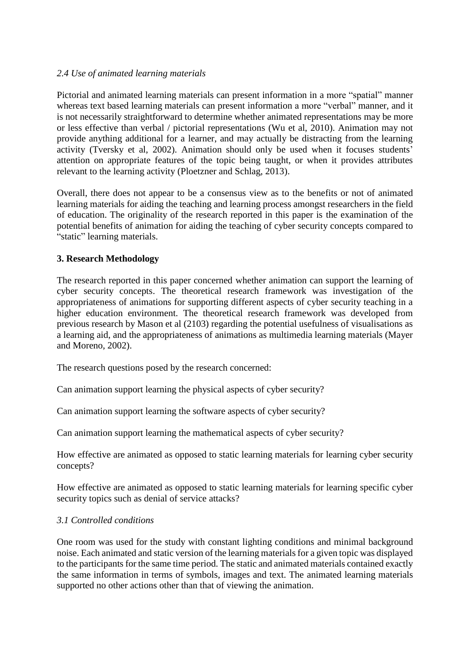### *2.4 Use of animated learning materials*

Pictorial and animated learning materials can present information in a more "spatial" manner whereas text based learning materials can present information a more "verbal" manner, and it is not necessarily straightforward to determine whether animated representations may be more or less effective than verbal / pictorial representations (Wu et al, 2010). Animation may not provide anything additional for a learner, and may actually be distracting from the learning activity (Tversky et al, 2002). Animation should only be used when it focuses students' attention on appropriate features of the topic being taught, or when it provides attributes relevant to the learning activity (Ploetzner and Schlag, 2013).

Overall, there does not appear to be a consensus view as to the benefits or not of animated learning materials for aiding the teaching and learning process amongst researchers in the field of education. The originality of the research reported in this paper is the examination of the potential benefits of animation for aiding the teaching of cyber security concepts compared to "static" learning materials.

### **3. Research Methodology**

The research reported in this paper concerned whether animation can support the learning of cyber security concepts. The theoretical research framework was investigation of the appropriateness of animations for supporting different aspects of cyber security teaching in a higher education environment. The theoretical research framework was developed from previous research by Mason et al (2103) regarding the potential usefulness of visualisations as a learning aid, and the appropriateness of animations as multimedia learning materials (Mayer and Moreno, 2002).

The research questions posed by the research concerned:

Can animation support learning the physical aspects of cyber security?

Can animation support learning the software aspects of cyber security?

Can animation support learning the mathematical aspects of cyber security?

How effective are animated as opposed to static learning materials for learning cyber security concepts?

How effective are animated as opposed to static learning materials for learning specific cyber security topics such as denial of service attacks?

# *3.1 Controlled conditions*

One room was used for the study with constant lighting conditions and minimal background noise. Each animated and static version of the learning materials for a given topic was displayed to the participants for the same time period. The static and animated materials contained exactly the same information in terms of symbols, images and text. The animated learning materials supported no other actions other than that of viewing the animation.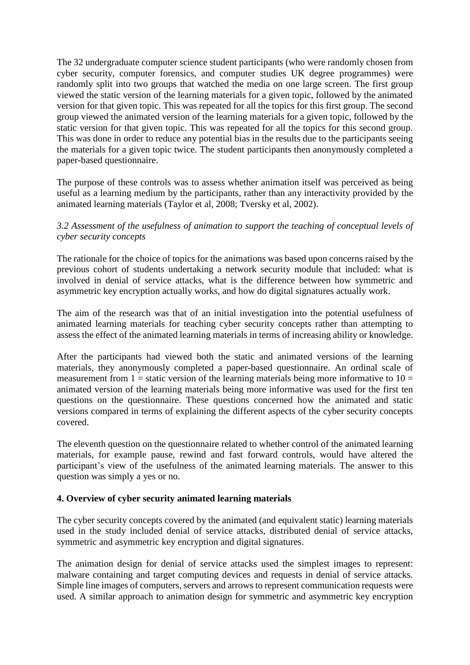The 32 undergraduate computer science student participants (who were randomly chosen from cyber security, computer forensics, and computer studies UK degree programmes) were randomly split into two groups that watched the media on one large screen. The first group viewed the static version of the learning materials for a given topic, followed by the animated version for that given topic. This was repeated for all the topics for this first group. The second group viewed the animated version of the learning materials for a given topic, followed by the static version for that given topic. This was repeated for all the topics for this second group. This was done in order to reduce any potential bias in the results due to the participants seeing the materials for a given topic twice. The student participants then anonymously completed a paper-based questionnaire.

The purpose of these controls was to assess whether animation itself was perceived as being useful as a learning medium by the participants, rather than any interactivity provided by the animated learning materials (Taylor et al, 2008; Tversky et al, 2002).

# *3.2 Assessment of the usefulness of animation to support the teaching of conceptual levels of cyber security concepts*

The rationale for the choice of topics for the animations was based upon concerns raised by the previous cohort of students undertaking a network security module that included: what is involved in denial of service attacks, what is the difference between how symmetric and asymmetric key encryption actually works, and how do digital signatures actually work.

The aim of the research was that of an initial investigation into the potential usefulness of animated learning materials for teaching cyber security concepts rather than attempting to assess the effect of the animated learning materials in terms of increasing ability or knowledge.

After the participants had viewed both the static and animated versions of the learning materials, they anonymously completed a paper-based questionnaire. An ordinal scale of measurement from  $1 =$  static version of the learning materials being more informative to  $10 =$ animated version of the learning materials being more informative was used for the first ten questions on the questionnaire. These questions concerned how the animated and static versions compared in terms of explaining the different aspects of the cyber security concepts covered.

The eleventh question on the questionnaire related to whether control of the animated learning materials, for example pause, rewind and fast forward controls, would have altered the participant's view of the usefulness of the animated learning materials. The answer to this question was simply a yes or no.

#### **4. Overview of cyber security animated learning materials**

The cyber security concepts covered by the animated (and equivalent static) learning materials used in the study included denial of service attacks, distributed denial of service attacks, symmetric and asymmetric key encryption and digital signatures.

The animation design for denial of service attacks used the simplest images to represent: malware containing and target computing devices and requests in denial of service attacks. Simple line images of computers, servers and arrows to represent communication requests were used. A similar approach to animation design for symmetric and asymmetric key encryption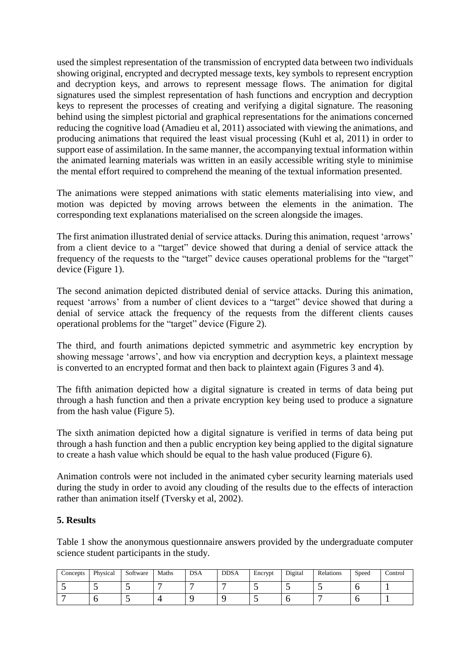used the simplest representation of the transmission of encrypted data between two individuals showing original, encrypted and decrypted message texts, key symbols to represent encryption and decryption keys, and arrows to represent message flows. The animation for digital signatures used the simplest representation of hash functions and encryption and decryption keys to represent the processes of creating and verifying a digital signature. The reasoning behind using the simplest pictorial and graphical representations for the animations concerned reducing the cognitive load (Amadieu et al, 2011) associated with viewing the animations, and producing animations that required the least visual processing (Kuhl et al, 2011) in order to support ease of assimilation. In the same manner, the accompanying textual information within the animated learning materials was written in an easily accessible writing style to minimise the mental effort required to comprehend the meaning of the textual information presented.

The animations were stepped animations with static elements materialising into view, and motion was depicted by moving arrows between the elements in the animation. The corresponding text explanations materialised on the screen alongside the images.

The first animation illustrated denial of service attacks. During this animation, request 'arrows' from a client device to a "target" device showed that during a denial of service attack the frequency of the requests to the "target" device causes operational problems for the "target" device (Figure 1).

The second animation depicted distributed denial of service attacks. During this animation, request 'arrows' from a number of client devices to a "target" device showed that during a denial of service attack the frequency of the requests from the different clients causes operational problems for the "target" device (Figure 2).

The third, and fourth animations depicted symmetric and asymmetric key encryption by showing message 'arrows', and how via encryption and decryption keys, a plaintext message is converted to an encrypted format and then back to plaintext again (Figures 3 and 4).

The fifth animation depicted how a digital signature is created in terms of data being put through a hash function and then a private encryption key being used to produce a signature from the hash value (Figure 5).

The sixth animation depicted how a digital signature is verified in terms of data being put through a hash function and then a public encryption key being applied to the digital signature to create a hash value which should be equal to the hash value produced (Figure 6).

Animation controls were not included in the animated cyber security learning materials used during the study in order to avoid any clouding of the results due to the effects of interaction rather than animation itself (Tversky et al, 2002).

# **5. Results**

Table 1 show the anonymous questionnaire answers provided by the undergraduate computer science student participants in the study.

| Concepts | Physical | Software | Maths | <b>DSA</b> | <b>DDSA</b> | Encrypt          | Digital  | Relations | Speed | Control |
|----------|----------|----------|-------|------------|-------------|------------------|----------|-----------|-------|---------|
|          |          |          |       |            |             | $\sim$ $\sim$    | $\sim$ . |           |       |         |
|          |          |          |       |            |             | $\sim$ $\lambda$ |          |           |       |         |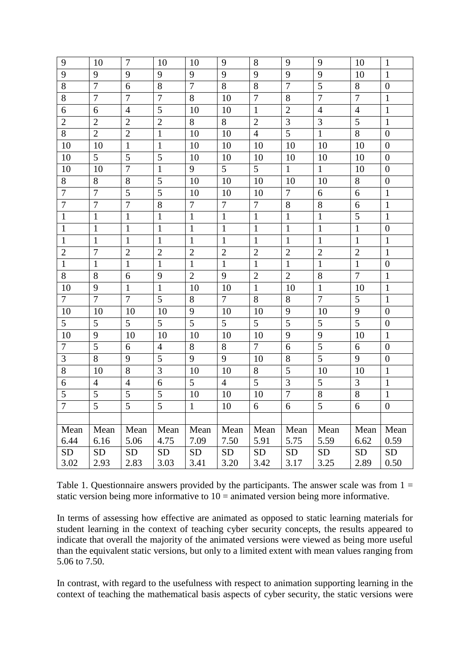| 9              | 10               | $\tau$         | 10             | 10             | 9              | 8               | 9              | 9              | 10             | $\mathbf{1}$     |
|----------------|------------------|----------------|----------------|----------------|----------------|-----------------|----------------|----------------|----------------|------------------|
| 9              | 9                | 9              | 9              | 9              | 9              | 9               | 9              | 9              | 10             | $\mathbf{1}$     |
| $8\,$          | $\overline{7}$   | 6              | 8              | $\overline{7}$ | 8              | 8               | $\overline{7}$ | 5              | 8              | $\boldsymbol{0}$ |
| $8\,$          | $\boldsymbol{7}$ | 7              | $\overline{7}$ | 8              | 10             | $\overline{7}$  | 8              | $\overline{7}$ | $\overline{7}$ | $\mathbf{1}$     |
| 6              | 6                | $\overline{4}$ | 5              | 10             | 10             | $\mathbf{1}$    | $\overline{2}$ | $\overline{4}$ | $\overline{4}$ | $\mathbf{1}$     |
| $\mathbf{2}$   | $\overline{2}$   | $\overline{2}$ | $\mathbf{2}$   | 8              | 8              | $\mathbf{2}$    | 3              | 3              | $\overline{5}$ | $\mathbf{1}$     |
| 8              | $\overline{2}$   | $\overline{2}$ | $\mathbf{1}$   | 10             | 10             | $\overline{4}$  | 5              | $\mathbf{1}$   | 8              | $\boldsymbol{0}$ |
| 10             | 10               | $\mathbf{1}$   | $\mathbf{1}$   | 10             | 10             | 10              | 10             | 10             | 10             | $\boldsymbol{0}$ |
| 10             | 5                | 5              | 5              | 10             | 10             | 10              | 10             | 10             | 10             | $\overline{0}$   |
| 10             | 10               | $\overline{7}$ | $\mathbf{1}$   | 9              | 5              | $5\overline{)}$ | $\mathbf{1}$   | $\mathbf{1}$   | 10             | $\boldsymbol{0}$ |
| 8              | 8                | 8              | 5              | 10             | 10             | 10              | 10             | 10             | $8\,$          | $\boldsymbol{0}$ |
| $\tau$         | $\boldsymbol{7}$ | $\overline{5}$ | 5              | 10             | 10             | 10              | $\overline{7}$ | 6              | 6              | $\mathbf{1}$     |
| $\overline{7}$ | $\overline{7}$   | $\overline{7}$ | 8              | $\tau$         | $\tau$         | $\tau$          | 8              | 8              | 6              | $\mathbf{1}$     |
| $\mathbf{1}$   | $\mathbf{1}$     | $\mathbf{1}$   | $\mathbf{1}$   | $\mathbf{1}$   | $\mathbf{1}$   | $\mathbf{1}$    | $\mathbf{1}$   | $\mathbf{1}$   | $\mathfrak s$  | $\mathbf{1}$     |
| $\mathbf{1}$   | $\mathbf{1}$     | $\mathbf{1}$   | $\mathbf{1}$   | $\mathbf{1}$   | $\mathbf{1}$   | $\mathbf{1}$    | $\mathbf{1}$   | $\mathbf{1}$   | $\mathbf{1}$   | $\boldsymbol{0}$ |
| $\mathbf{1}$   | $\mathbf{1}$     | $\mathbf{1}$   | $\mathbf{1}$   | $\mathbf{1}$   | $\mathbf{1}$   | $\mathbf{1}$    | $\mathbf{1}$   | $\mathbf{1}$   | $\mathbf{1}$   | $\mathbf{1}$     |
| $\overline{2}$ | $\boldsymbol{7}$ | $\overline{2}$ | $\overline{2}$ | $\overline{2}$ | $\overline{2}$ | $\mathbf{2}$    | $\overline{2}$ | $\overline{2}$ | $\overline{2}$ | $\mathbf{1}$     |
| $\mathbf{1}$   | $\mathbf{1}$     | $\mathbf{1}$   | $\mathbf{1}$   | $\mathbf{1}$   | $\mathbf{1}$   | $\mathbf{1}$    | $\mathbf{1}$   | $\mathbf{1}$   | $\mathbf{1}$   | $\boldsymbol{0}$ |
| 8              | 8                | 6              | 9              | $\overline{2}$ | 9              | $\mathbf{2}$    | $\overline{2}$ | 8              | $\overline{7}$ | $\mathbf{1}$     |
| 10             | 9                | $\mathbf{1}$   | $\mathbf{1}$   | 10             | 10             | $\mathbf{1}$    | 10             | $\mathbf{1}$   | 10             | $\mathbf{1}$     |
| $\tau$         | $\overline{7}$   | $\overline{7}$ | 5              | 8              | $\overline{7}$ | 8               | 8              | $\overline{7}$ | 5              | $\mathbf{1}$     |
| 10             | 10               | 10             | 10             | 9              | 10             | 10              | 9              | 10             | 9              | $\boldsymbol{0}$ |
| 5              | 5                | 5              | 5              | 5              | 5              | 5               | 5              | 5              | 5              | $\boldsymbol{0}$ |
| 10             | 9                | 10             | 10             | 10             | 10             | 10              | 9              | 9              | 10             | $\mathbf{1}$     |
| $\overline{7}$ | 5                | 6              | $\overline{4}$ | 8              | 8              | $\overline{7}$  | 6              | 5              | 6              | $\boldsymbol{0}$ |
| $\mathfrak{Z}$ | 8                | 9              | 5              | 9              | 9              | 10              | $8\,$          | $\overline{5}$ | 9              | $\boldsymbol{0}$ |
| $8\,$          | 10               | 8              | 3              | 10             | 10             | 8               | 5              | 10             | 10             | $\mathbf{1}$     |
| 6              | $\overline{4}$   | $\overline{4}$ | 6              | 5              | $\overline{4}$ | 5               | $\mathfrak{Z}$ | 5              | 3              | $\mathbf{1}$     |
| 5              | 5                | 5              | $\mathfrak{S}$ | 10             | 10             | 10              | $\overline{7}$ | $8\,$          | $8\,$          | $\,1\,$          |
| $\overline{7}$ | $\overline{5}$   | $\overline{5}$ | 5              | 1              | 10             | 6               | 6              | 5              | 6              | $\boldsymbol{0}$ |
|                |                  |                |                |                |                |                 |                |                |                |                  |
| Mean           | Mean             | Mean           | Mean           | Mean           | Mean           | Mean            | Mean           | Mean           | Mean           | Mean             |
| 6.44           | 6.16             | 5.06           | 4.75           | 7.09           | 7.50           | 5.91            | 5.75           | 5.59           | 6.62           | 0.59             |
| <b>SD</b>      | <b>SD</b>        | <b>SD</b>      | <b>SD</b>      | <b>SD</b>      | <b>SD</b>      | <b>SD</b>       | <b>SD</b>      | <b>SD</b>      | <b>SD</b>      | <b>SD</b>        |
| 3.02           | 2.93             | 2.83           | 3.03           | 3.41           | 3.20           | 3.42            | 3.17           | 3.25           | 2.89           | 0.50             |

Table 1. Questionnaire answers provided by the participants. The answer scale was from  $1 =$ static version being more informative to  $10 =$  animated version being more informative.

In terms of assessing how effective are animated as opposed to static learning materials for student learning in the context of teaching cyber security concepts, the results appeared to indicate that overall the majority of the animated versions were viewed as being more useful than the equivalent static versions, but only to a limited extent with mean values ranging from 5.06 to 7.50.

In contrast, with regard to the usefulness with respect to animation supporting learning in the context of teaching the mathematical basis aspects of cyber security, the static versions were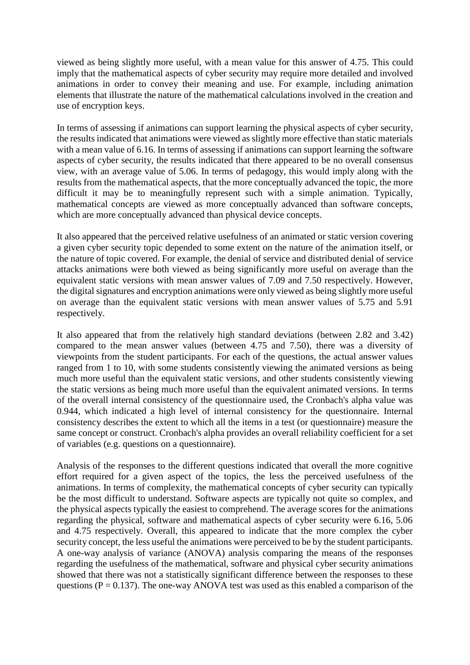viewed as being slightly more useful, with a mean value for this answer of 4.75. This could imply that the mathematical aspects of cyber security may require more detailed and involved animations in order to convey their meaning and use. For example, including animation elements that illustrate the nature of the mathematical calculations involved in the creation and use of encryption keys.

In terms of assessing if animations can support learning the physical aspects of cyber security, the results indicated that animations were viewed as slightly more effective than static materials with a mean value of 6.16. In terms of assessing if animations can support learning the software aspects of cyber security, the results indicated that there appeared to be no overall consensus view, with an average value of 5.06. In terms of pedagogy, this would imply along with the results from the mathematical aspects, that the more conceptually advanced the topic, the more difficult it may be to meaningfully represent such with a simple animation. Typically, mathematical concepts are viewed as more conceptually advanced than software concepts, which are more conceptually advanced than physical device concepts.

It also appeared that the perceived relative usefulness of an animated or static version covering a given cyber security topic depended to some extent on the nature of the animation itself, or the nature of topic covered. For example, the denial of service and distributed denial of service attacks animations were both viewed as being significantly more useful on average than the equivalent static versions with mean answer values of 7.09 and 7.50 respectively. However, the digital signatures and encryption animations were only viewed as being slightly more useful on average than the equivalent static versions with mean answer values of 5.75 and 5.91 respectively.

It also appeared that from the relatively high standard deviations (between 2.82 and 3.42) compared to the mean answer values (between 4.75 and 7.50), there was a diversity of viewpoints from the student participants. For each of the questions, the actual answer values ranged from 1 to 10, with some students consistently viewing the animated versions as being much more useful than the equivalent static versions, and other students consistently viewing the static versions as being much more useful than the equivalent animated versions. In terms of the overall internal consistency of the questionnaire used, the Cronbach's alpha value was 0.944, which indicated a high level of internal consistency for the questionnaire. Internal consistency describes the extent to which all the items in a test (or questionnaire) measure the same concept or construct. Cronbach's alpha provides an overall reliability coefficient for a set of variables (e.g. questions on a questionnaire).

Analysis of the responses to the different questions indicated that overall the more cognitive effort required for a given aspect of the topics, the less the perceived usefulness of the animations. In terms of complexity, the mathematical concepts of cyber security can typically be the most difficult to understand. Software aspects are typically not quite so complex, and the physical aspects typically the easiest to comprehend. The average scores for the animations regarding the physical, software and mathematical aspects of cyber security were 6.16, 5.06 and 4.75 respectively. Overall, this appeared to indicate that the more complex the cyber security concept, the less useful the animations were perceived to be by the student participants. A one-way analysis of variance (ANOVA) analysis comparing the means of the responses regarding the usefulness of the mathematical, software and physical cyber security animations showed that there was not a statistically significant difference between the responses to these questions ( $P = 0.137$ ). The one-way ANOVA test was used as this enabled a comparison of the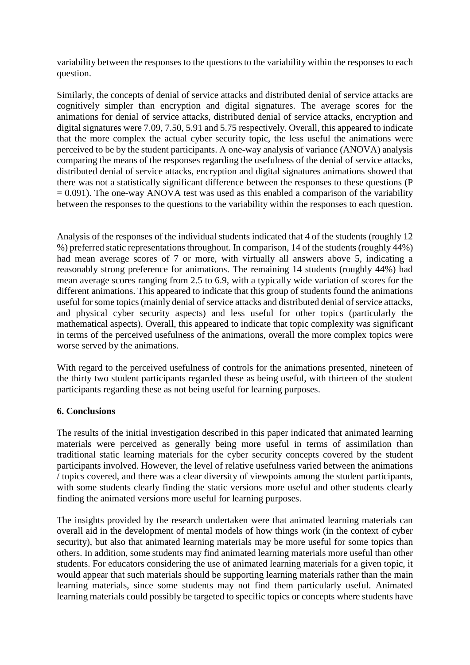variability between the responses to the questions to the variability within the responses to each question.

Similarly, the concepts of denial of service attacks and distributed denial of service attacks are cognitively simpler than encryption and digital signatures. The average scores for the animations for denial of service attacks, distributed denial of service attacks, encryption and digital signatures were 7.09, 7.50, 5.91 and 5.75 respectively. Overall, this appeared to indicate that the more complex the actual cyber security topic, the less useful the animations were perceived to be by the student participants. A one-way analysis of variance (ANOVA) analysis comparing the means of the responses regarding the usefulness of the denial of service attacks, distributed denial of service attacks, encryption and digital signatures animations showed that there was not a statistically significant difference between the responses to these questions (P  $= 0.091$ ). The one-way ANOVA test was used as this enabled a comparison of the variability between the responses to the questions to the variability within the responses to each question.

Analysis of the responses of the individual students indicated that 4 of the students (roughly 12 %) preferred static representations throughout. In comparison, 14 of the students (roughly 44%) had mean average scores of 7 or more, with virtually all answers above 5, indicating a reasonably strong preference for animations. The remaining 14 students (roughly 44%) had mean average scores ranging from 2.5 to 6.9, with a typically wide variation of scores for the different animations. This appeared to indicate that this group of students found the animations useful for some topics (mainly denial of service attacks and distributed denial of service attacks, and physical cyber security aspects) and less useful for other topics (particularly the mathematical aspects). Overall, this appeared to indicate that topic complexity was significant in terms of the perceived usefulness of the animations, overall the more complex topics were worse served by the animations.

With regard to the perceived usefulness of controls for the animations presented, nineteen of the thirty two student participants regarded these as being useful, with thirteen of the student participants regarding these as not being useful for learning purposes.

# **6. Conclusions**

The results of the initial investigation described in this paper indicated that animated learning materials were perceived as generally being more useful in terms of assimilation than traditional static learning materials for the cyber security concepts covered by the student participants involved. However, the level of relative usefulness varied between the animations / topics covered, and there was a clear diversity of viewpoints among the student participants, with some students clearly finding the static versions more useful and other students clearly finding the animated versions more useful for learning purposes.

The insights provided by the research undertaken were that animated learning materials can overall aid in the development of mental models of how things work (in the context of cyber security), but also that animated learning materials may be more useful for some topics than others. In addition, some students may find animated learning materials more useful than other students. For educators considering the use of animated learning materials for a given topic, it would appear that such materials should be supporting learning materials rather than the main learning materials, since some students may not find them particularly useful. Animated learning materials could possibly be targeted to specific topics or concepts where students have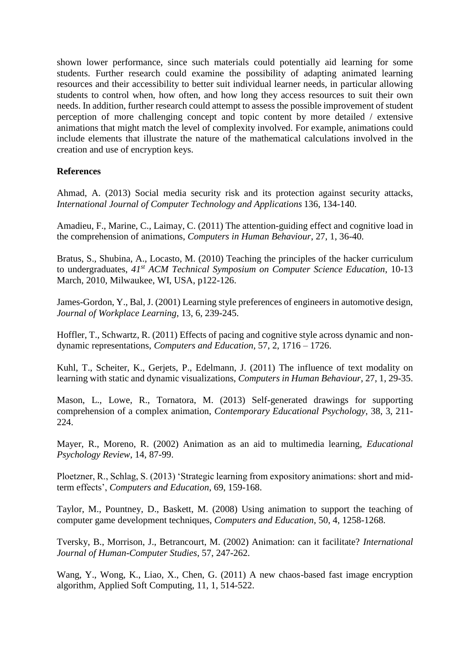shown lower performance, since such materials could potentially aid learning for some students. Further research could examine the possibility of adapting animated learning resources and their accessibility to better suit individual learner needs, in particular allowing students to control when, how often, and how long they access resources to suit their own needs. In addition, further research could attempt to assess the possible improvement of student perception of more challenging concept and topic content by more detailed / extensive animations that might match the level of complexity involved. For example, animations could include elements that illustrate the nature of the mathematical calculations involved in the creation and use of encryption keys.

# **References**

Ahmad, A. (2013) Social media security risk and its protection against security attacks, *International Journal of Computer Technology and Applications* 136, 134-140.

Amadieu, F., Marine, C., Laimay, C. (2011) The attention-guiding effect and cognitive load in the comprehension of animations, *Computers in Human Behaviour*, 27, 1, 36-40.

Bratus, S., Shubina, A., Locasto, M. (2010) Teaching the principles of the hacker curriculum to undergraduates, *41st ACM Technical Symposium on Computer Science Education*, 10-13 March, 2010, Milwaukee, WI, USA, p122-126.

James-Gordon, Y., Bal, J. (2001) Learning style preferences of engineers in automotive design, *Journal of Workplace Learning*, 13, 6, 239-245.

Hoffler, T., Schwartz, R. (2011) Effects of pacing and cognitive style across dynamic and nondynamic representations, *Computers and Education*, 57, 2, 1716 – 1726.

Kuhl, T., Scheiter, K., Gerjets, P., Edelmann, J. (2011) The influence of text modality on learning with static and dynamic visualizations, *Computers in Human Behaviour*, 27, 1, 29-35.

Mason, L., Lowe, R., Tornatora, M. (2013) Self-generated drawings for supporting comprehension of a complex animation, *Contemporary Educational Psychology*, 38, 3, 211- 224.

Mayer, R., Moreno, R. (2002) Animation as an aid to multimedia learning, *Educational Psychology Review*, 14, 87-99.

Ploetzner, R., Schlag, S. (2013) 'Strategic learning from expository animations: short and midterm effects', *Computers and Education*, 69, 159-168.

Taylor, M., Pountney, D., Baskett, M. (2008) Using animation to support the teaching of computer game development techniques, *Computers and Education*, 50, 4, 1258-1268.

Tversky, B., Morrison, J., Betrancourt, M. (2002) Animation: can it facilitate? *International Journal of Human-Computer Studies*, 57, 247-262.

Wang, Y., Wong, K., Liao, X., Chen, G. (2011) A new chaos-based fast image encryption algorithm, Applied Soft Computing, 11, 1, 514-522.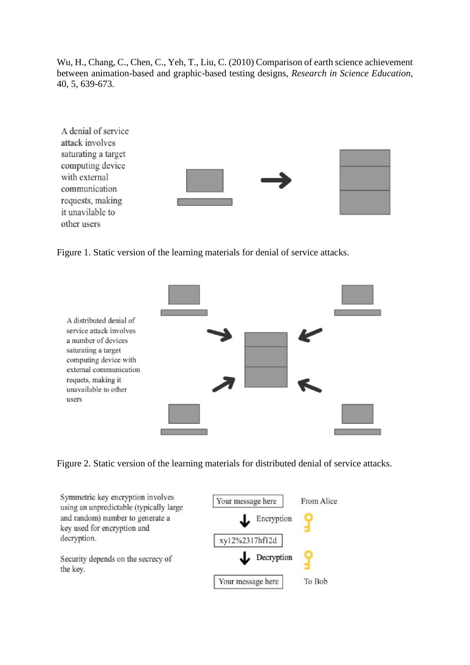Wu, H., Chang, C., Chen, C., Yeh, T., Liu, C. (2010) Comparison of earth science achievement between animation-based and graphic-based testing designs, *Research in Science Education*, 40, 5, 639-673.



Figure 1. Static version of the learning materials for denial of service attacks.



Figure 2. Static version of the learning materials for distributed denial of service attacks.